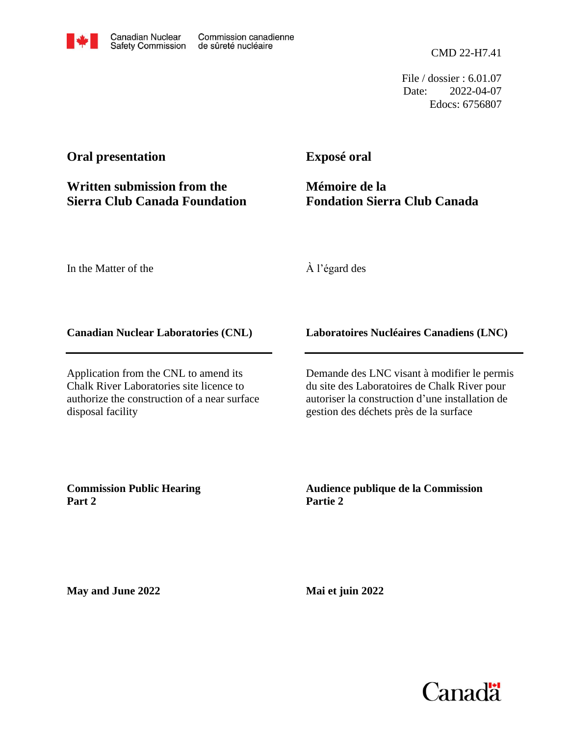

CMD 22-H7.41

File / dossier : 6.01.07 Date: 2022-04-07 Edocs: 6756807

# **Oral presentation**

# **Written submission from the Sierra Club Canada Foundation**

**Exposé oral**

**Mémoire de la Fondation Sierra Club Canada**

In the Matter of the

À l'égard des

## **Canadian Nuclear Laboratories (CNL)**

Application from the CNL to amend its Chalk River Laboratories site licence to authorize the construction of a near surface disposal facility

**Laboratoires Nucléaires Canadiens (LNC)**

Demande des LNC visant à modifier le permis du site des Laboratoires de Chalk River pour autoriser la construction d'une installation de gestion des déchets près de la surface

**Commission Public Hearing Part 2**

**Audience publique de la Commission Partie 2**

**May and June 2022**

**Mai et juin 2022**

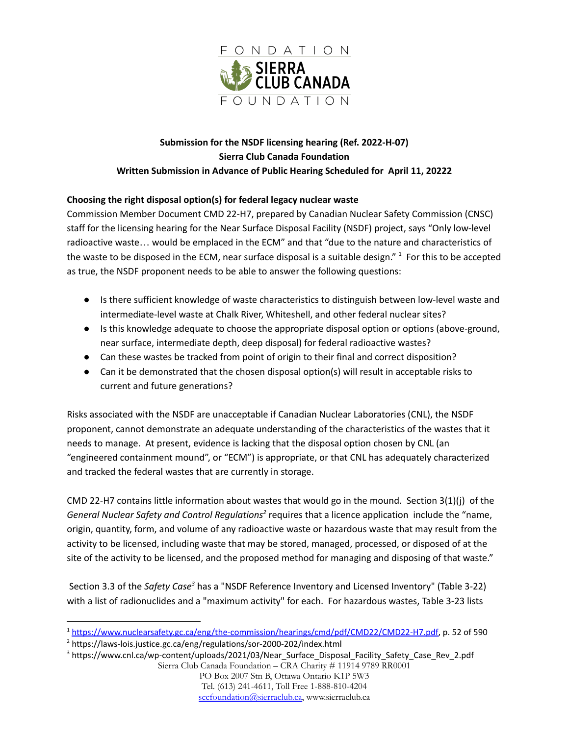

## **Submission for the NSDF licensing hearing (Ref. 2022-H-07) Sierra Club Canada Foundation Written Submission in Advance of Public Hearing Scheduled for April 11, 20222**

### **Choosing the right disposal option(s) for federal legacy nuclear waste**

Commission Member Document CMD 22-H7, prepared by Canadian Nuclear Safety Commission (CNSC) staff for the licensing hearing for the Near Surface Disposal Facility (NSDF) project, says "Only low-level radioactive waste… would be emplaced in the ECM" and that "due to the nature and characteristics of the waste to be disposed in the ECM, near surface disposal is a suitable design." <sup>1</sup> For this to be accepted as true, the NSDF proponent needs to be able to answer the following questions:

- Is there sufficient knowledge of waste characteristics to distinguish between low-level waste and intermediate-level waste at Chalk River, Whiteshell, and other federal nuclear sites?
- Is this knowledge adequate to choose the appropriate disposal option or options (above-ground, near surface, intermediate depth, deep disposal) for federal radioactive wastes?
- Can these wastes be tracked from point of origin to their final and correct disposition?
- Can it be demonstrated that the chosen disposal option(s) will result in acceptable risks to current and future generations?

Risks associated with the NSDF are unacceptable if Canadian Nuclear Laboratories (CNL), the NSDF proponent, cannot demonstrate an adequate understanding of the characteristics of the wastes that it needs to manage. At present, evidence is lacking that the disposal option chosen by CNL (an "engineered containment mound", or "ECM") is appropriate, or that CNL has adequately characterized and tracked the federal wastes that are currently in storage.

CMD 22-H7 contains little information about wastes that would go in the mound. Section 3(1)(j) of the General Nuclear Safety and Control Regulations<sup>2</sup> requires that a licence application include the "name, origin, quantity, form, and volume of any radioactive waste or hazardous waste that may result from the activity to be licensed, including waste that may be stored, managed, processed, or disposed of at the site of the activity to be licensed, and the proposed method for managing and disposing of that waste."

Section 3.3 of the *Safety Case<sup>3</sup>* has a "NSDF Reference Inventory and Licensed Inventory" (Table 3-22) with a list of radionuclides and a "maximum activity" for each. For hazardous wastes, Table 3-23 lists

<sup>2</sup> https://laws-lois.justice.gc.ca/eng/regulations/sor-2000-202/index.html

<sup>1</sup> [https://www.nuclearsafety.gc.ca/eng/the-commission/hearings/cmd/pdf/CMD22/CMD22-H7.pdf,](https://www.nuclearsafety.gc.ca/eng/the-commission/hearings/cmd/pdf/CMD22/CMD22-H7.pdf) p. 52 of 590

<sup>3</sup> https://www.cnl.ca/wp-content/uploads/2021/03/Near\_Surface\_Disposal\_Facility\_Safety\_Case\_Rev\_2.pdf Sierra Club Canada Foundation – CRA Charity # 11914 9789 RR0001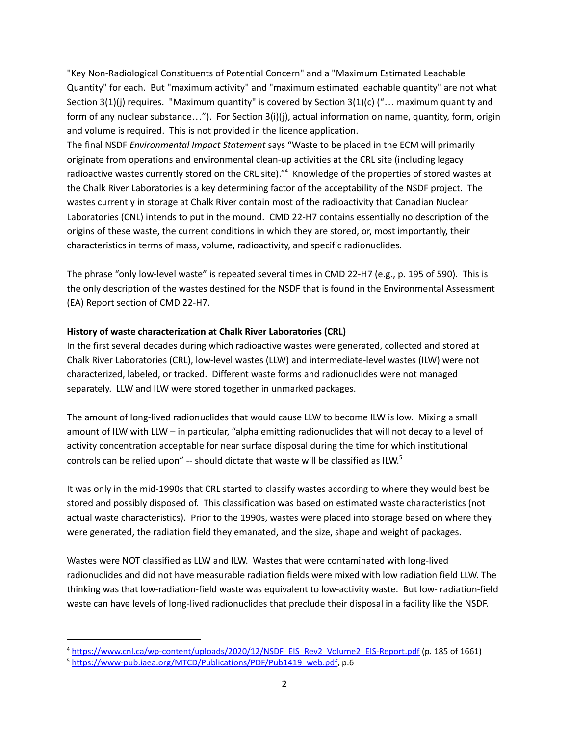"Key Non-Radiological Constituents of Potential Concern" and a "Maximum Estimated Leachable Quantity" for each. But "maximum activity" and "maximum estimated leachable quantity" are not what Section 3(1)(j) requires. "Maximum quantity" is covered by Section 3(1)(c) ("… maximum quantity and form of any nuclear substance…"). For Section 3(i)(j), actual information on name, quantity, form, origin and volume is required. This is not provided in the licence application.

The final NSDF *Environmental Impact Statement* says "Waste to be placed in the ECM will primarily originate from operations and environmental clean-up activities at the CRL site (including legacy radioactive wastes currently stored on the CRL site)."<sup>4</sup> Knowledge of the properties of stored wastes at the Chalk River Laboratories is a key determining factor of the acceptability of the NSDF project. The wastes currently in storage at Chalk River contain most of the radioactivity that Canadian Nuclear Laboratories (CNL) intends to put in the mound. CMD 22-H7 contains essentially no description of the origins of these waste, the current conditions in which they are stored, or, most importantly, their characteristics in terms of mass, volume, radioactivity, and specific radionuclides.

The phrase "only low-level waste" is repeated several times in CMD 22-H7 (e.g., p. 195 of 590). This is the only description of the wastes destined for the NSDF that is found in the Environmental Assessment (EA) Report section of CMD 22-H7.

#### **History of waste characterization at Chalk River Laboratories (CRL)**

In the first several decades during which radioactive wastes were generated, collected and stored at Chalk River Laboratories (CRL), low-level wastes (LLW) and intermediate-level wastes (ILW) were not characterized, labeled, or tracked. Different waste forms and radionuclides were not managed separately. LLW and ILW were stored together in unmarked packages.

The amount of long-lived radionuclides that would cause LLW to become ILW is low. Mixing a small amount of ILW with LLW – in particular, "alpha emitting radionuclides that will not decay to a level of activity concentration acceptable for near surface disposal during the time for which institutional controls can be relied upon" -- should dictate that waste will be classified as ILW.<sup>5</sup>

It was only in the mid-1990s that CRL started to classify wastes according to where they would best be stored and possibly disposed of. This classification was based on estimated waste characteristics (not actual waste characteristics). Prior to the 1990s, wastes were placed into storage based on where they were generated, the radiation field they emanated, and the size, shape and weight of packages.

Wastes were NOT classified as LLW and ILW. Wastes that were contaminated with long-lived radionuclides and did not have measurable radiation fields were mixed with low radiation field LLW. The thinking was that low-radiation-field waste was equivalent to low-activity waste. But low- radiation-field waste can have levels of long-lived radionuclides that preclude their disposal in a facility like the NSDF.

<sup>4</sup> [https://www.cnl.ca/wp-content/uploads/2020/12/NSDF\\_EIS\\_Rev2\\_Volume2\\_EIS-Report.pdf](https://www.cnl.ca/wp-content/uploads/2020/12/NSDF_EIS_Rev2_Volume2_EIS-Report.pdf) (p. 185 of 1661)

<sup>&</sup>lt;sup>5</sup> [https://www-pub.iaea.org/MTCD/Publications/PDF/Pub1419\\_web.pdf](https://www-pub.iaea.org/MTCD/Publications/PDF/Pub1419_web.pdf), p.6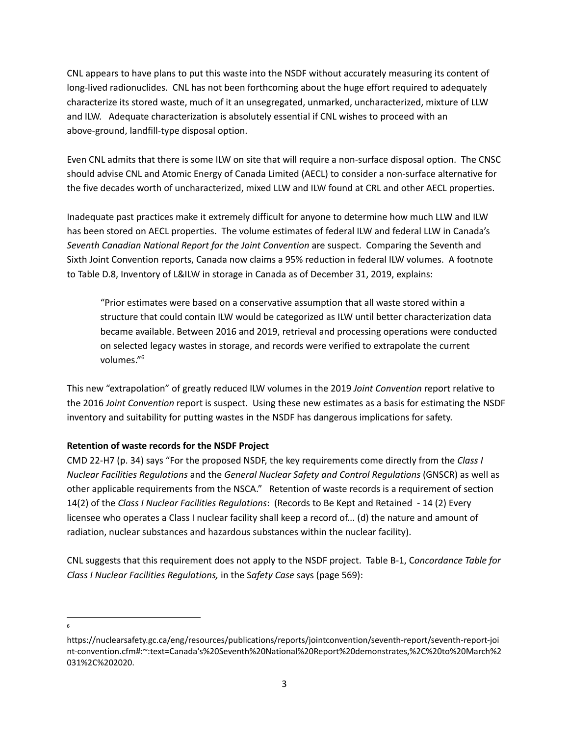CNL appears to have plans to put this waste into the NSDF without accurately measuring its content of long-lived radionuclides. CNL has not been forthcoming about the huge effort required to adequately characterize its stored waste, much of it an unsegregated, unmarked, uncharacterized, mixture of LLW and ILW. Adequate characterization is absolutely essential if CNL wishes to proceed with an above-ground, landfill-type disposal option.

Even CNL admits that there is some ILW on site that will require a non-surface disposal option. The CNSC should advise CNL and Atomic Energy of Canada Limited (AECL) to consider a non-surface alternative for the five decades worth of uncharacterized, mixed LLW and ILW found at CRL and other AECL properties.

Inadequate past practices make it extremely difficult for anyone to determine how much LLW and ILW has been stored on AECL properties. The volume estimates of federal ILW and federal LLW in Canada's *Seventh Canadian National Report for the Joint Convention* are suspect. Comparing the Seventh and Sixth Joint Convention reports, Canada now claims a 95% reduction in federal ILW volumes. A footnote to Table D.8, Inventory of L&ILW in storage in Canada as of December 31, 2019, explains:

"Prior estimates were based on a conservative assumption that all waste stored within a structure that could contain ILW would be categorized as ILW until better characterization data became available. Between 2016 and 2019, retrieval and processing operations were conducted on selected legacy wastes in storage, and records were verified to extrapolate the current volumes." 6

This new "extrapolation" of greatly reduced ILW volumes in the 2019 *Joint Convention* report relative to the 2016 *Joint Convention* report is suspect. Using these new estimates as a basis for estimating the NSDF inventory and suitability for putting wastes in the NSDF has dangerous implications for safety.

#### **Retention of waste records for the NSDF Project**

CMD 22-H7 (p. 34) says "For the proposed NSDF, the key requirements come directly from the *Class I Nuclear Facilities Regulations* and the *General Nuclear Safety and Control Regulations* (GNSCR) as well as other applicable requirements from the NSCA." Retention of waste records is a requirement of section 14(2) of the *Class I Nuclear Facilities Regulations*: (Records to Be Kept and Retained - 14 (2) Every licensee who operates a Class I nuclear facility shall keep a record of... (d) the nature and amount of radiation, nuclear substances and hazardous substances within the nuclear facility).

CNL suggests that this requirement does not apply to the NSDF project. Table B-1, C*oncordance Table for Class I Nuclear Facilities Regulations,* in the S*afety Case* says (page 569):

6

https://nuclearsafety.gc.ca/eng/resources/publications/reports/jointconvention/seventh-report/seventh-report-joi nt-convention.cfm#:~:text=Canada's%20Seventh%20National%20Report%20demonstrates,%2C%20to%20March%2 031%2C%202020.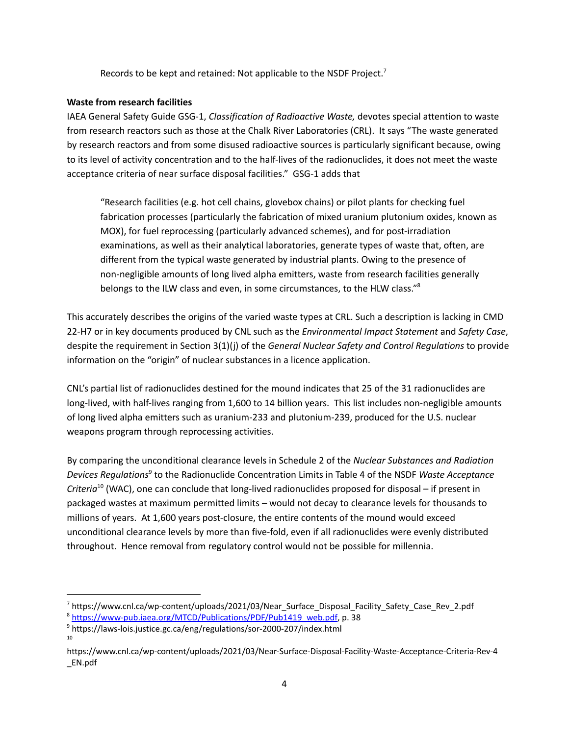Records to be kept and retained: Not applicable to the NSDF Project.<sup>7</sup>

#### **Waste from research facilities**

IAEA General Safety Guide GSG-1, *Classification of Radioactive Waste,* devotes special attention to waste from research reactors such as those at the Chalk River Laboratories (CRL). It says "The waste generated by research reactors and from some disused radioactive sources is particularly significant because, owing to its level of activity concentration and to the half-lives of the radionuclides, it does not meet the waste acceptance criteria of near surface disposal facilities." GSG-1 adds that

"Research facilities (e.g. hot cell chains, glovebox chains) or pilot plants for checking fuel fabrication processes (particularly the fabrication of mixed uranium plutonium oxides, known as MOX), for fuel reprocessing (particularly advanced schemes), and for post-irradiation examinations, as well as their analytical laboratories, generate types of waste that, often, are different from the typical waste generated by industrial plants. Owing to the presence of non-negligible amounts of long lived alpha emitters, waste from research facilities generally belongs to the ILW class and even, in some circumstances, to the HLW class."<sup>8</sup>

This accurately describes the origins of the varied waste types at CRL. Such a description is lacking in CMD 22-H7 or in key documents produced by CNL such as the *Environmental Impact Statement* and *Safety Case*, despite the requirement in Section 3(1)(j) of the *General Nuclear Safety and Control Regulations* to provide information on the "origin" of nuclear substances in a licence application.

CNL's partial list of radionuclides destined for the mound indicates that 25 of the 31 radionuclides are long-lived, with half-lives ranging from 1,600 to 14 billion years. This list includes non-negligible amounts of long lived alpha emitters such as uranium-233 and plutonium-239, produced for the U.S. nuclear weapons program through reprocessing activities.

By comparing the unconditional clearance levels in Schedule 2 of the *Nuclear Substances and Radiation* Devices Regulations<sup>9</sup> to the Radionuclide Concentration Limits in Table 4 of the NSDF *Waste Acceptance Criteria* 10 (WAC), one can conclude that long-lived radionuclides proposed for disposal – if present in packaged wastes at maximum permitted limits – would not decay to clearance levels for thousands to millions of years. At 1,600 years post-closure, the entire contents of the mound would exceed unconditional clearance levels by more than five-fold, even if all radionuclides were evenly distributed throughout. Hence removal from regulatory control would not be possible for millennia.

<sup>&</sup>lt;sup>7</sup> https://www.cnl.ca/wp-content/uploads/2021/03/Near\_Surface\_Disposal\_Facility\_Safety\_Case\_Rev\_2.pdf

<sup>&</sup>lt;sup>8</sup> [https://www-pub.iaea.org/MTCD/Publications/PDF/Pub1419\\_web.pdf](https://www-pub.iaea.org/MTCD/Publications/PDF/Pub1419_web.pdf), p. 38

<sup>10</sup> <sup>9</sup> https://laws-lois.justice.gc.ca/eng/regulations/sor-2000-207/index.html

https://www.cnl.ca/wp-content/uploads/2021/03/Near-Surface-Disposal-Facility-Waste-Acceptance-Criteria-Rev-4 \_EN.pdf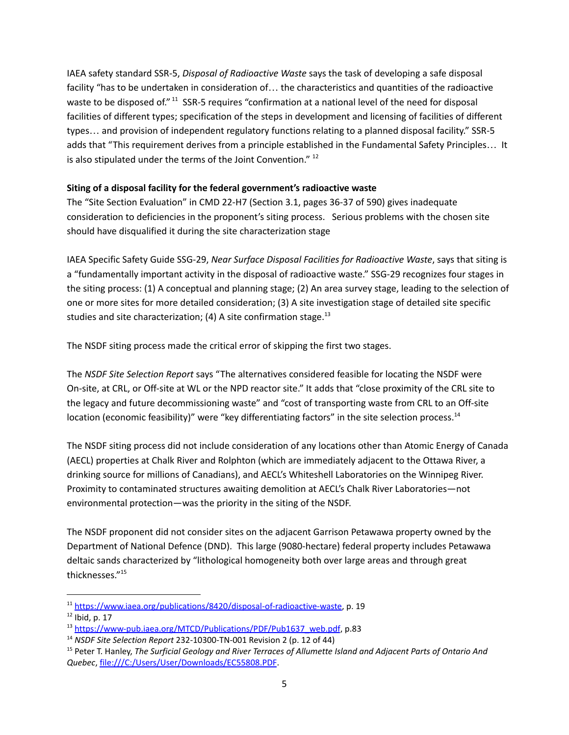IAEA safety standard SSR-5, *Disposal of Radioactive Waste* says the task of developing a safe disposal facility "has to be undertaken in consideration of… the characteristics and quantities of the radioactive waste to be disposed of." <sup>11</sup> SSR-5 requires "confirmation at a national level of the need for disposal facilities of different types; specification of the steps in development and licensing of facilities of different types… and provision of independent regulatory functions relating to a planned disposal facility." SSR-5 adds that "This requirement derives from a principle established in the Fundamental Safety Principles… It is also stipulated under the terms of the Joint Convention."  $^{12}$ 

#### **Siting of a disposal facility for the federal government's radioactive waste**

The "Site Section Evaluation" in CMD 22-H7 (Section 3.1, pages 36-37 of 590) gives inadequate consideration to deficiencies in the proponent's siting process. Serious problems with the chosen site should have disqualified it during the site characterization stage

IAEA Specific Safety Guide SSG-29, *Near Surface Disposal Facilities for Radioactive Waste*, says that siting is a "fundamentally important activity in the disposal of radioactive waste." SSG-29 recognizes four stages in the siting process: (1) A conceptual and planning stage; (2) An area survey stage, leading to the selection of one or more sites for more detailed consideration; (3) A site investigation stage of detailed site specific studies and site characterization; (4) A site confirmation stage.<sup>13</sup>

The NSDF siting process made the critical error of skipping the first two stages.

The *NSDF Site Selection Report* says "The alternatives considered feasible for locating the NSDF were On-site, at CRL, or Off-site at WL or the NPD reactor site." It adds that "close proximity of the CRL site to the legacy and future decommissioning waste" and "cost of transporting waste from CRL to an Off-site location (economic feasibility)" were "key differentiating factors" in the site selection process.<sup>14</sup>

The NSDF siting process did not include consideration of any locations other than Atomic Energy of Canada (AECL) properties at Chalk River and Rolphton (which are immediately adjacent to the Ottawa River, a drinking source for millions of Canadians), and AECL's Whiteshell Laboratories on the Winnipeg River. Proximity to contaminated structures awaiting demolition at AECL's Chalk River Laboratories—not environmental protection—was the priority in the siting of the NSDF.

The NSDF proponent did not consider sites on the adjacent Garrison Petawawa property owned by the Department of National Defence (DND). This large (9080-hectare) federal property includes Petawawa deltaic sands characterized by "lithological homogeneity both over large areas and through great thicknesses." 15

<sup>11</sup> <https://www.iaea.org/publications/8420/disposal-of-radioactive-waste>, p. 19

 $12$  Ibid, p. 17

<sup>&</sup>lt;sup>13</sup> [https://www-pub.iaea.org/MTCD/Publications/PDF/Pub1637\\_web.pdf](https://www-pub.iaea.org/MTCD/Publications/PDF/Pub1637_web.pdf), p.83

<sup>14</sup> *NSDF Site Selection Report* 232-10300-TN-001 Revision 2 (p. 12 of 44)

<sup>15</sup> Peter T. Hanley, *The Surficial Geology and River Terraces of Allumette Island and Adjacent Parts of Ontario And Quebec*, file:///C:/Users/User/Downloads/EC55808.PDF.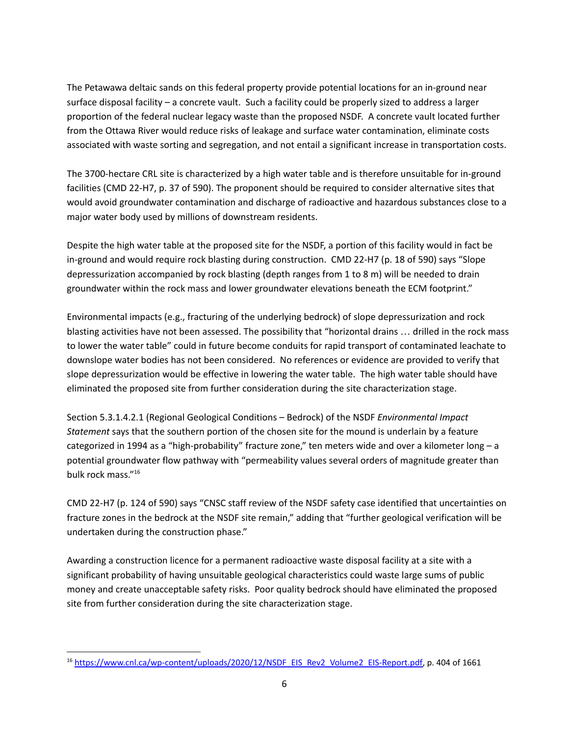The Petawawa deltaic sands on this federal property provide potential locations for an in-ground near surface disposal facility – a concrete vault. Such a facility could be properly sized to address a larger proportion of the federal nuclear legacy waste than the proposed NSDF. A concrete vault located further from the Ottawa River would reduce risks of leakage and surface water contamination, eliminate costs associated with waste sorting and segregation, and not entail a significant increase in transportation costs.

The 3700-hectare CRL site is characterized by a high water table and is therefore unsuitable for in-ground facilities (CMD 22-H7, p. 37 of 590). The proponent should be required to consider alternative sites that would avoid groundwater contamination and discharge of radioactive and hazardous substances close to a major water body used by millions of downstream residents.

Despite the high water table at the proposed site for the NSDF, a portion of this facility would in fact be in-ground and would require rock blasting during construction. CMD 22-H7 (p. 18 of 590) says "Slope depressurization accompanied by rock blasting (depth ranges from 1 to 8 m) will be needed to drain groundwater within the rock mass and lower groundwater elevations beneath the ECM footprint."

Environmental impacts (e.g., fracturing of the underlying bedrock) of slope depressurization and rock blasting activities have not been assessed. The possibility that "horizontal drains … drilled in the rock mass to lower the water table" could in future become conduits for rapid transport of contaminated leachate to downslope water bodies has not been considered. No references or evidence are provided to verify that slope depressurization would be effective in lowering the water table. The high water table should have eliminated the proposed site from further consideration during the site characterization stage.

Section 5.3.1.4.2.1 (Regional Geological Conditions – Bedrock) of the NSDF *Environmental Impact Statement* says that the southern portion of the chosen site for the mound is underlain by a feature categorized in 1994 as a "high-probability" fracture zone," ten meters wide and over a kilometer long – a potential groundwater flow pathway with "permeability values several orders of magnitude greater than bulk rock mass." 16

CMD 22-H7 (p. 124 of 590) says "CNSC staff review of the NSDF safety case identified that uncertainties on fracture zones in the bedrock at the NSDF site remain," adding that "further geological verification will be undertaken during the construction phase."

Awarding a construction licence for a permanent radioactive waste disposal facility at a site with a significant probability of having unsuitable geological characteristics could waste large sums of public money and create unacceptable safety risks. Poor quality bedrock should have eliminated the proposed site from further consideration during the site characterization stage.

<sup>&</sup>lt;sup>16</sup> [https://www.cnl.ca/wp-content/uploads/2020/12/NSDF\\_EIS\\_Rev2\\_Volume2\\_EIS-Report.pdf,](https://www.cnl.ca/wp-content/uploads/2020/12/NSDF_EIS_Rev2_Volume2_EIS-Report.pdf) p. 404 of 1661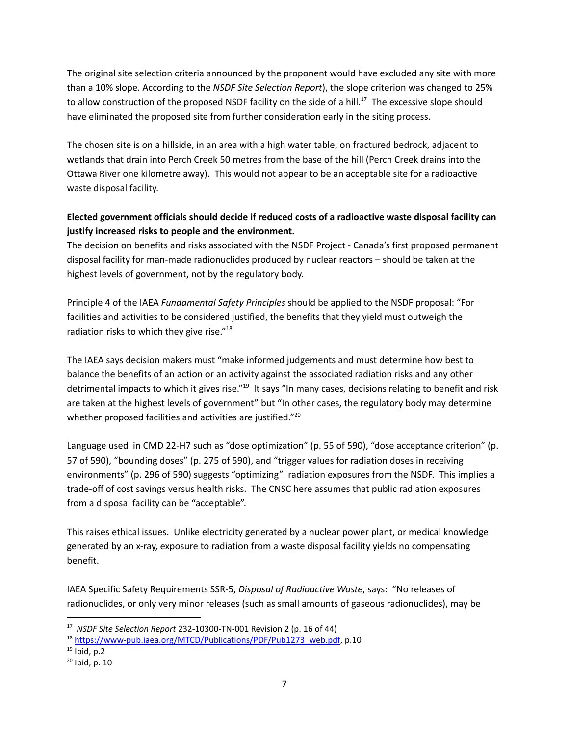The original site selection criteria announced by the proponent would have excluded any site with more than a 10% slope. According to the *NSDF Site Selection Report*), the slope criterion was changed to 25% to allow construction of the proposed NSDF facility on the side of a hill.<sup>17</sup> The excessive slope should have eliminated the proposed site from further consideration early in the siting process.

The chosen site is on a hillside, in an area with a high water table, on fractured bedrock, adjacent to wetlands that drain into Perch Creek 50 metres from the base of the hill (Perch Creek drains into the Ottawa River one kilometre away). This would not appear to be an acceptable site for a radioactive waste disposal facility.

## **Elected government officials should decide if reduced costs of a radioactive waste disposal facility can justify increased risks to people and the environment.**

The decision on benefits and risks associated with the NSDF Project - Canada's first proposed permanent disposal facility for man-made radionuclides produced by nuclear reactors – should be taken at the highest levels of government, not by the regulatory body.

Principle 4 of the IAEA *Fundamental Safety Principles* should be applied to the NSDF proposal: "For facilities and activities to be considered justified, the benefits that they yield must outweigh the radiation risks to which they give rise."<sup>18</sup>

The IAEA says decision makers must "make informed judgements and must determine how best to balance the benefits of an action or an activity against the associated radiation risks and any other detrimental impacts to which it gives rise."<sup>19</sup> It says "In many cases, decisions relating to benefit and risk are taken at the highest levels of government" but "In other cases, the regulatory body may determine whether proposed facilities and activities are justified."<sup>20</sup>

Language used in CMD 22-H7 such as "dose optimization" (p. 55 of 590), "dose acceptance criterion" (p. 57 of 590), "bounding doses" (p. 275 of 590), and "trigger values for radiation doses in receiving environments" (p. 296 of 590) suggests "optimizing" radiation exposures from the NSDF. This implies a trade-off of cost savings versus health risks. The CNSC here assumes that public radiation exposures from a disposal facility can be "acceptable".

This raises ethical issues. Unlike electricity generated by a nuclear power plant, or medical knowledge generated by an x-ray, exposure to radiation from a waste disposal facility yields no compensating benefit.

IAEA Specific Safety Requirements SSR-5, *Disposal of Radioactive Waste*, says: "No releases of radionuclides, or only very minor releases (such as small amounts of gaseous radionuclides), may be

<sup>17</sup> *NSDF Site Selection Report* 232-10300-TN-001 Revision 2 (p. 16 of 44)

<sup>&</sup>lt;sup>18</sup> [https://www-pub.iaea.org/MTCD/Publications/PDF/Pub1273\\_web.pdf](https://www-pub.iaea.org/MTCD/Publications/PDF/Pub1273_web.pdf), p.10

 $19$  Ibid, p.2

<sup>20</sup> Ibid, p. 10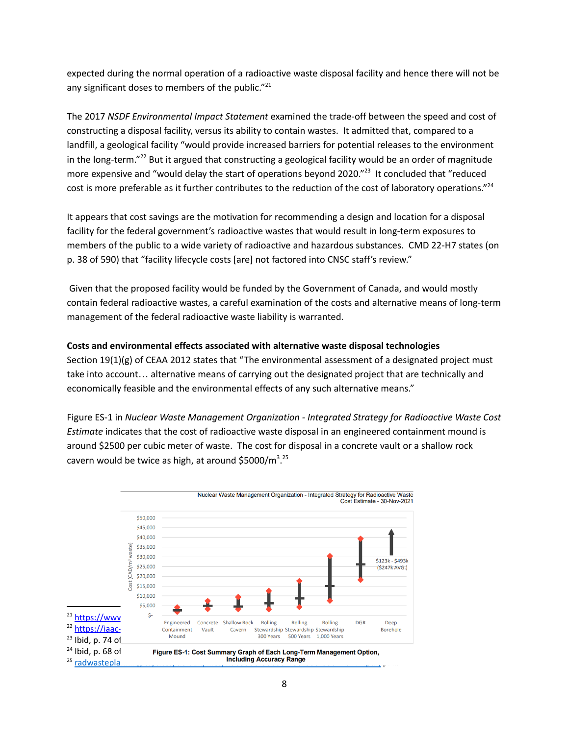expected during the normal operation of a radioactive waste disposal facility and hence there will not be any significant doses to members of the public."<sup>21</sup>

The 2017 *NSDF Environmental Impact Statement* examined the trade-off between the speed and cost of constructing a disposal facility, versus its ability to contain wastes. It admitted that, compared to a landfill, a geological facility "would provide increased barriers for potential releases to the environment in the long-term."<sup>22</sup> But it argued that constructing a geological facility would be an order of magnitude more expensive and "would delay the start of operations beyond 2020."<sup>23</sup> It concluded that "reduced cost is more preferable as it further contributes to the reduction of the cost of laboratory operations."<sup>24</sup>

It appears that cost savings are the motivation for recommending a design and location for a disposal facility for the federal government's radioactive wastes that would result in long-term exposures to members of the public to a wide variety of radioactive and hazardous substances. CMD 22-H7 states (on p. 38 of 590) that "facility lifecycle costs [are] not factored into CNSC staff's review."

Given that the proposed facility would be funded by the Government of Canada, and would mostly contain federal radioactive wastes, a careful examination of the costs and alternative means of long-term management of the federal radioactive waste liability is warranted.

#### **Costs and environmental effects associated with alternative waste disposal technologies**

Section 19(1)(g) of CEAA 2012 states that "The environmental assessment of a designated project must take into account… alternative means of carrying out the designated project that are technically and economically feasible and the environmental effects of any such alternative means."

Figure ES-1 in *Nuclear Waste Management Organization - Integrated Strategy for Radioactive Waste Cost Estimate* indicates that the cost of radioactive waste disposal in an engineered containment mound is around \$2500 per cubic meter of waste. The cost for disposal in a concrete vault or a shallow rock cavern would be twice as high, at around \$5000/m<sup>3</sup>.<sup>25</sup>



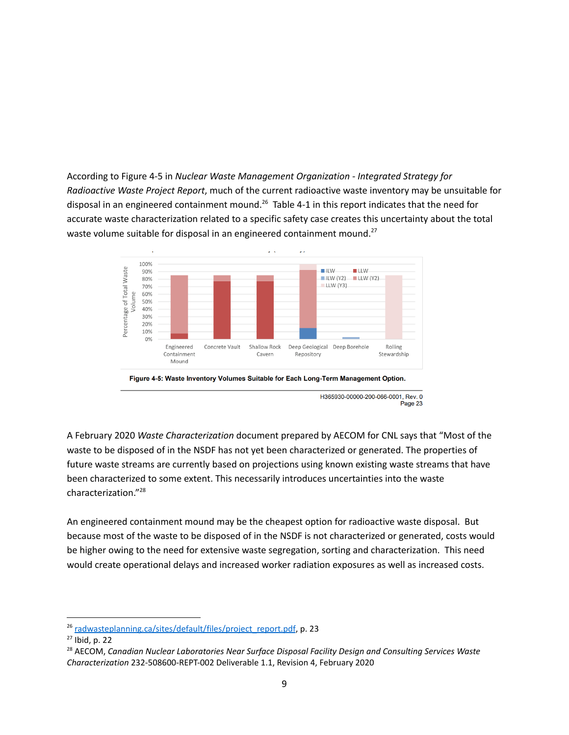According to Figure 4-5 in *Nuclear Waste Management Organization - Integrated Strategy for Radioactive Waste Project Report*, much of the current radioactive waste inventory may be unsuitable for disposal in an engineered containment mound.<sup>26</sup> Table 4-1 in this report indicates that the need for accurate waste characterization related to a specific safety case creates this uncertainty about the total waste volume suitable for disposal in an engineered containment mound.<sup>27</sup>



H365930-00000-200-066-0001, Rev. 0 Page 23

A February 2020 *Waste Characterization* document prepared by AECOM for CNL says that "Most of the waste to be disposed of in the NSDF has not yet been characterized or generated. The properties of future waste streams are currently based on projections using known existing waste streams that have been characterized to some extent. This necessarily introduces uncertainties into the waste characterization." 28

An engineered containment mound may be the cheapest option for radioactive waste disposal. But because most of the waste to be disposed of in the NSDF is not characterized or generated, costs would be higher owing to the need for extensive waste segregation, sorting and characterization. This need would create operational delays and increased worker radiation exposures as well as increased costs.

<sup>&</sup>lt;sup>26</sup> radwasteplanning.ca/sites/default/files/project\_report.pdf, p. 23

 $27$  Ibid, p. 22

<sup>28</sup> AECOM, *Canadian Nuclear Laboratories Near Surface Disposal Facility Design and Consulting Services Waste Characterization* 232-508600-REPT-002 Deliverable 1.1, Revision 4, February 2020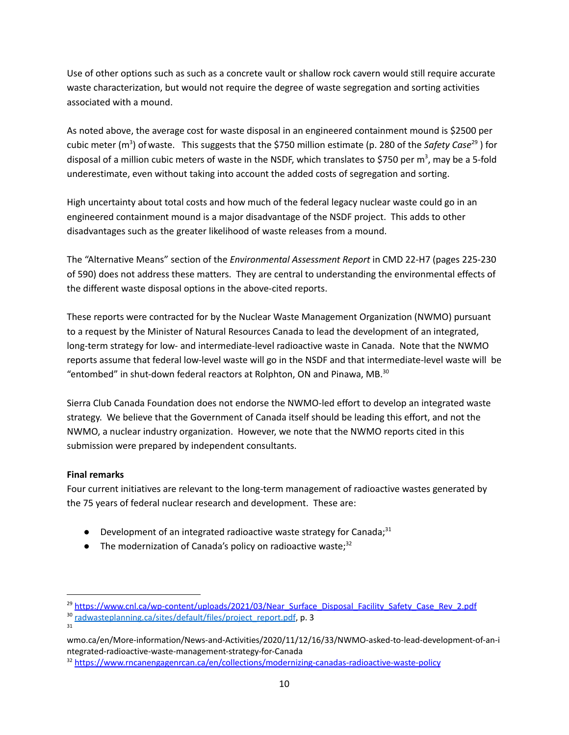Use of other options such as such as a concrete vault or shallow rock cavern would still require accurate waste characterization, but would not require the degree of waste segregation and sorting activities associated with a mound.

As noted above, the average cost for waste disposal in an engineered containment mound is \$2500 per cubic meter (m<sup>3</sup>) of waste. This suggests that the \$750 million estimate (p. 280 of the Safety Case<sup>29</sup>) for disposal of a million cubic meters of waste in the NSDF, which translates to \$750 per m<sup>3</sup>, may be a 5-fold underestimate, even without taking into account the added costs of segregation and sorting.

High uncertainty about total costs and how much of the federal legacy nuclear waste could go in an engineered containment mound is a major disadvantage of the NSDF project. This adds to other disadvantages such as the greater likelihood of waste releases from a mound.

The "Alternative Means" section of the *Environmental Assessment Report* in CMD 22-H7 (pages 225-230 of 590) does not address these matters. They are central to understanding the environmental effects of the different waste disposal options in the above-cited reports.

These reports were contracted for by the Nuclear Waste Management Organization (NWMO) pursuant to a request by the Minister of Natural Resources Canada to lead the development of an integrated, long-term strategy for low- and intermediate-level radioactive waste in Canada. Note that the NWMO reports assume that federal low-level waste will go in the NSDF and that intermediate-level waste will be "entombed" in shut-down federal reactors at Rolphton, ON and Pinawa, MB. $^{30}$ 

Sierra Club Canada Foundation does not endorse the NWMO-led effort to develop an integrated waste strategy. We believe that the Government of Canada itself should be leading this effort, and not the NWMO, a nuclear industry organization. However, we note that the NWMO reports cited in this submission were prepared by independent consultants.

#### **Final remarks**

31

Four current initiatives are relevant to the long-term management of radioactive wastes generated by the 75 years of federal nuclear research and development. These are:

- $\bullet$  Development of an integrated radioactive waste strategy for Canada;<sup>31</sup>
- The modernization of Canada's policy on radioactive waste;<sup>32</sup>

<sup>&</sup>lt;sup>29</sup> [https://www.cnl.ca/wp-content/uploads/2021/03/Near\\_Surface\\_Disposal\\_Facility\\_Safety\\_Case\\_Rev\\_2.pdf](https://www.cnl.ca/wp-content/uploads/2021/03/Near_Surface_Disposal_Facility_Safety_Case_Rev_2.pdf)

<sup>&</sup>lt;sup>30</sup> radwasteplanning.ca/sites/default/files/project\_report.pdf, p. 3

wmo.ca/en/More-information/News-and-Activities/2020/11/12/16/33/NWMO-asked-to-lead-development-of-an-i ntegrated-radioactive-waste-management-strategy-for-Canada

<sup>32</sup> <https://www.rncanengagenrcan.ca/en/collections/modernizing-canadas-radioactive-waste-policy>